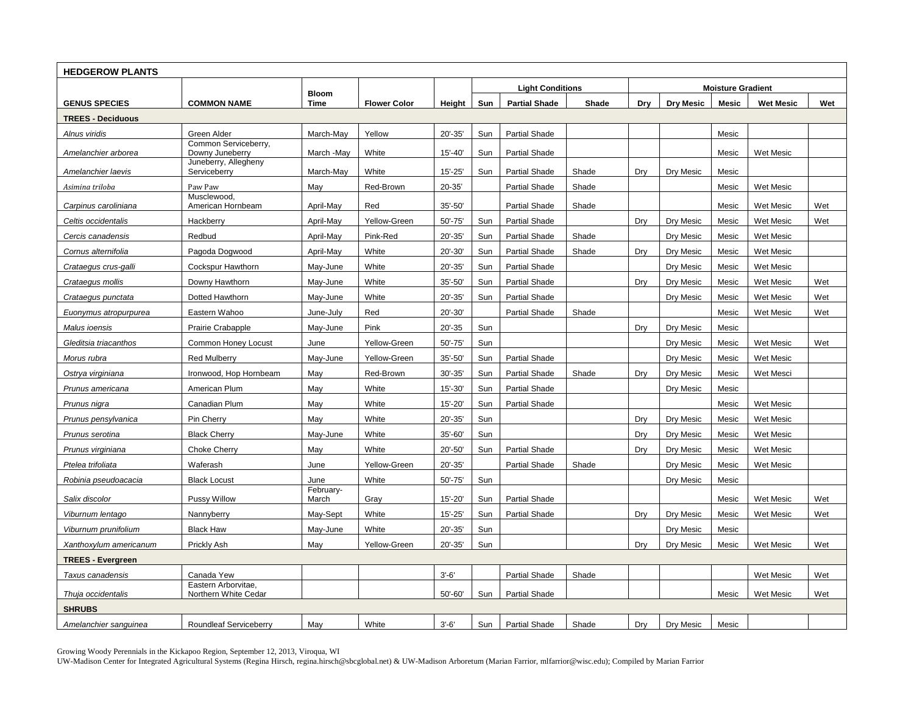| <b>HEDGEROW PLANTS</b>   |                                             |                    |                     |             |     |                         |       |     |                          |              |                  |     |
|--------------------------|---------------------------------------------|--------------------|---------------------|-------------|-----|-------------------------|-------|-----|--------------------------|--------------|------------------|-----|
|                          |                                             | <b>Bloom</b>       |                     |             |     | <b>Light Conditions</b> |       |     | <b>Moisture Gradient</b> |              |                  |     |
| <b>GENUS SPECIES</b>     | <b>COMMON NAME</b>                          | <b>Time</b>        | <b>Flower Color</b> | Height      | Sun | <b>Partial Shade</b>    | Shade | Drv | <b>Dry Mesic</b>         | <b>Mesic</b> | <b>Wet Mesic</b> | Wet |
| <b>TREES - Deciduous</b> |                                             |                    |                     |             |     |                         |       |     |                          |              |                  |     |
| Alnus viridis            | Green Alder                                 | March-May          | Yellow              | 20'-35'     | Sun | <b>Partial Shade</b>    |       |     |                          | Mesic        |                  |     |
| Amelanchier arborea      | Common Serviceberry,<br>Downy Juneberry     | March -May         | White               | $15' - 40'$ | Sun | <b>Partial Shade</b>    |       |     |                          | Mesic        | Wet Mesic        |     |
|                          | Juneberry, Allegheny                        |                    |                     |             |     |                         |       |     |                          |              |                  |     |
| Amelanchier laevis       | Serviceberry                                | March-May          | White               | $15' - 25'$ | Sun | <b>Partial Shade</b>    | Shade | Dry | Dry Mesic                | Mesic        |                  |     |
| Asimina triloba          | Paw Paw<br>Musclewood,                      | May                | Red-Brown           | $20 - 35'$  |     | <b>Partial Shade</b>    | Shade |     |                          | Mesic        | Wet Mesic        |     |
| Carpinus caroliniana     | American Hornbeam                           | April-May          | Red                 | 35'-50'     |     | <b>Partial Shade</b>    | Shade |     |                          | Mesic        | Wet Mesic        | Wet |
| Celtis occidentalis      | Hackberry                                   | April-May          | Yellow-Green        | $50' - 75'$ | Sun | <b>Partial Shade</b>    |       | Dry | Dry Mesic                | Mesic        | Wet Mesic        | Wet |
| Cercis canadensis        | Redbud                                      | April-May          | Pink-Red            | 20'-35'     | Sun | <b>Partial Shade</b>    | Shade |     | Dry Mesic                | Mesic        | Wet Mesic        |     |
| Cornus alternifolia      | Pagoda Dogwood                              | April-May          | White               | 20'-30'     | Sun | <b>Partial Shade</b>    | Shade | Dry | Dry Mesic                | Mesic        | Wet Mesic        |     |
| Crataegus crus-galli     | Cockspur Hawthorn                           | May-June           | White               | 20'-35'     | Sun | <b>Partial Shade</b>    |       |     | Dry Mesic                | Mesic        | Wet Mesic        |     |
| Crataegus mollis         | Downy Hawthorn                              | May-June           | White               | 35'-50'     | Sun | <b>Partial Shade</b>    |       | Dry | Dry Mesic                | Mesic        | Wet Mesic        | Wet |
| Crataegus punctata       | Dotted Hawthorn                             | May-June           | White               | 20'-35'     | Sun | <b>Partial Shade</b>    |       |     | Dry Mesic                | Mesic        | Wet Mesic        | Wet |
| Euonymus atropurpurea    | Eastern Wahoo                               | June-July          | Red                 | 20'-30'     |     | <b>Partial Shade</b>    | Shade |     |                          | Mesic        | Wet Mesic        | Wet |
| Malus ioensis            | Prairie Crabapple                           | May-June           | Pink                | $20' - 35$  | Sun |                         |       | Dry | Dry Mesic                | Mesic        |                  |     |
| Gleditsia triacanthos    | Common Honey Locust                         | June               | Yellow-Green        | $50' - 75'$ | Sun |                         |       |     | Dry Mesic                | Mesic        | Wet Mesic        | Wet |
| Morus rubra              | <b>Red Mulberry</b>                         | May-June           | Yellow-Green        | 35'-50'     | Sun | <b>Partial Shade</b>    |       |     | Dry Mesic                | Mesic        | Wet Mesic        |     |
| Ostrya virginiana        | Ironwood, Hop Hornbeam                      | May                | Red-Brown           | $30' - 35'$ | Sun | <b>Partial Shade</b>    | Shade | Dry | Dry Mesic                | Mesic        | Wet Mesci        |     |
| Prunus americana         | American Plum                               | May                | White               | 15'-30'     | Sun | <b>Partial Shade</b>    |       |     | Dry Mesic                | Mesic        |                  |     |
| Prunus nigra             | Canadian Plum                               | May                | White               | 15'-20'     | Sun | <b>Partial Shade</b>    |       |     |                          | Mesic        | Wet Mesic        |     |
| Prunus pensylvanica      | Pin Cherry                                  | May                | White               | 20'-35'     | Sun |                         |       | Dry | Dry Mesic                | Mesic        | Wet Mesic        |     |
| Prunus serotina          | <b>Black Cherry</b>                         | May-June           | White               | 35'-60'     | Sun |                         |       | Dry | Dry Mesic                | Mesic        | Wet Mesic        |     |
| Prunus virginiana        | <b>Choke Cherry</b>                         | May                | White               | 20'-50'     | Sun | <b>Partial Shade</b>    |       | Dry | Dry Mesic                | Mesic        | Wet Mesic        |     |
| Ptelea trifoliata        | Waferash                                    | June               | Yellow-Green        | 20'-35'     |     | <b>Partial Shade</b>    | Shade |     | Dry Mesic                | Mesic        | Wet Mesic        |     |
| Robinia pseudoacacia     | <b>Black Locust</b>                         | June               | White               | $50' - 75'$ | Sun |                         |       |     | Dry Mesic                | Mesic        |                  |     |
| Salix discolor           | <b>Pussy Willow</b>                         | February-<br>March | Gray                | 15'-20'     | Sun | <b>Partial Shade</b>    |       |     |                          | Mesic        | Wet Mesic        | Wet |
| Viburnum lentago         | Nannyberry                                  | May-Sept           | White               | $15' - 25'$ | Sun | <b>Partial Shade</b>    |       | Dry | Dry Mesic                | Mesic        | Wet Mesic        | Wet |
| Viburnum prunifolium     | <b>Black Haw</b>                            | May-June           | White               | 20'-35'     | Sun |                         |       |     | Dry Mesic                | Mesic        |                  |     |
| Xanthoxylum americanum   | Prickly Ash                                 | May                | Yellow-Green        | 20'-35'     | Sun |                         |       | Dry | Dry Mesic                | Mesic        | Wet Mesic        | Wet |
| <b>TREES - Evergreen</b> |                                             |                    |                     |             |     |                         |       |     |                          |              |                  |     |
| Taxus canadensis         | Canada Yew                                  |                    |                     | $3' - 6'$   |     | <b>Partial Shade</b>    | Shade |     |                          |              | Wet Mesic        | Wet |
| Thuja occidentalis       | Eastern Arborvitae,<br>Northern White Cedar |                    |                     | 50'-60'     | Sun | <b>Partial Shade</b>    |       |     |                          | Mesic        | Wet Mesic        | Wet |
| <b>SHRUBS</b>            |                                             |                    |                     |             |     |                         |       |     |                          |              |                  |     |
| Amelanchier sanguinea    | Roundleaf Serviceberry                      | May                | White               | $3' - 6'$   | Sun | <b>Partial Shade</b>    | Shade | Dry | Dry Mesic                | Mesic        |                  |     |

Growing Woody Perennials in the Kickapoo Region, September 12, 2013, Viroqua, WI

UW-Madison Center for Integrated Agricultural Systems (Regina Hirsch, regina.hirsch@sbcglobal.net) & UW-Madison Arboretum (Marian Farrior, mlfarrior@wisc.edu); Compiled by Marian Farrior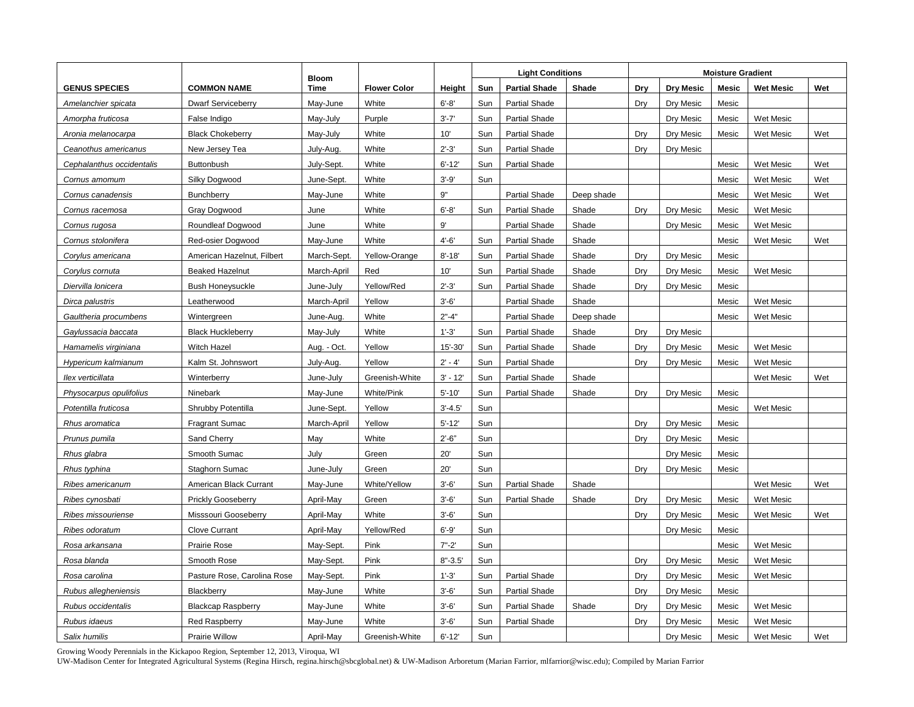|                           |                             |                      |                     |             | <b>Light Conditions</b> |                      |            |     | <b>Moisture Gradient</b> |              |                  |     |  |
|---------------------------|-----------------------------|----------------------|---------------------|-------------|-------------------------|----------------------|------------|-----|--------------------------|--------------|------------------|-----|--|
| <b>GENUS SPECIES</b>      | <b>COMMON NAME</b>          | <b>Bloom</b><br>Time | <b>Flower Color</b> | Height      | Sun                     | <b>Partial Shade</b> | Shade      | Dry | <b>Dry Mesic</b>         | <b>Mesic</b> | <b>Wet Mesic</b> | Wet |  |
| Amelanchier spicata       | <b>Dwarf Serviceberry</b>   | May-June             | White               | $6' - 8'$   | Sun                     | <b>Partial Shade</b> |            | Drv | Dry Mesic                | Mesic        |                  |     |  |
| Amorpha fruticosa         | False Indigo                | May-July             | Purple              | $3' - 7'$   | Sun                     | <b>Partial Shade</b> |            |     | Dry Mesic                | Mesic        | <b>Wet Mesic</b> |     |  |
| Aronia melanocarpa        | <b>Black Chokeberry</b>     | May-July             | White               | 10'         | Sun                     | <b>Partial Shade</b> |            | Dry | Dry Mesic                | Mesic        | Wet Mesic        | Wet |  |
| Ceanothus americanus      | New Jersey Tea              | July-Aug.            | White               | $2' - 3'$   | Sun                     | <b>Partial Shade</b> |            | Dry | Dry Mesic                |              |                  |     |  |
| Cephalanthus occidentalis | <b>Buttonbush</b>           | July-Sept.           | White               | $6' - 12'$  | Sun                     | <b>Partial Shade</b> |            |     |                          | Mesic        | Wet Mesic        | Wet |  |
| Cornus amomum             | Silky Dogwood               | June-Sept.           | White               | $3' - 9'$   | Sun                     |                      |            |     |                          | Mesic        | Wet Mesic        | Wet |  |
| Cornus canadensis         | Bunchberry                  | May-June             | White               | 9"          |                         | <b>Partial Shade</b> | Deep shade |     |                          | Mesic        | Wet Mesic        | Wet |  |
| Cornus racemosa           | Gray Dogwood                | June                 | White               | $6' - 8'$   | Sun                     | <b>Partial Shade</b> | Shade      | Dry | Dry Mesic                | Mesic        | Wet Mesic        |     |  |
| Cornus rugosa             | Roundleaf Dogwood           | June                 | White               | $9'$        |                         | <b>Partial Shade</b> | Shade      |     | Dry Mesic                | Mesic        | <b>Wet Mesic</b> |     |  |
| Cornus stolonifera        | Red-osier Dogwood           | May-June             | White               | $4' - 6'$   | Sun                     | <b>Partial Shade</b> | Shade      |     |                          | Mesic        | <b>Wet Mesic</b> | Wet |  |
| Corylus americana         | American Hazelnut, Filbert  | March-Sept.          | Yellow-Orange       | $8' - 18'$  | Sun                     | <b>Partial Shade</b> | Shade      | Dry | Dry Mesic                | Mesic        |                  |     |  |
| Corylus cornuta           | <b>Beaked Hazelnut</b>      | March-April          | Red                 | 10'         | Sun                     | <b>Partial Shade</b> | Shade      | Dry | Dry Mesic                | Mesic        | Wet Mesic        |     |  |
| Diervilla lonicera        | <b>Bush Honeysuckle</b>     | June-July            | Yellow/Red          | $2' - 3'$   | Sun                     | <b>Partial Shade</b> | Shade      | Dry | Dry Mesic                | Mesic        |                  |     |  |
| Dirca palustris           | Leatherwood                 | March-April          | Yellow              | $3' - 6'$   |                         | <b>Partial Shade</b> | Shade      |     |                          | Mesic        | <b>Wet Mesic</b> |     |  |
| Gaultheria procumbens     | Wintergreen                 | June-Aug.            | White               | $2" - 4"$   |                         | <b>Partial Shade</b> | Deep shade |     |                          | Mesic        | Wet Mesic        |     |  |
| Gaylussacia baccata       | <b>Black Huckleberry</b>    | May-July             | White               | $1' - 3'$   | Sun                     | <b>Partial Shade</b> | Shade      | Dry | Dry Mesic                |              |                  |     |  |
| Hamamelis virginiana      | Witch Hazel                 | Aug. - Oct.          | Yellow              | $15' - 30'$ | Sun                     | <b>Partial Shade</b> | Shade      | Drv | Dry Mesic                | Mesic        | Wet Mesic        |     |  |
| Hypericum kalmianum       | Kalm St. Johnswort          | July-Aug.            | Yellow              | $2' - 4'$   | Sun                     | <b>Partial Shade</b> |            | Drv | Dry Mesic                | Mesic        | <b>Wet Mesic</b> |     |  |
| llex verticillata         | Winterberry                 | June-July            | Greenish-White      | $3' - 12'$  | Sun                     | <b>Partial Shade</b> | Shade      |     |                          |              | Wet Mesic        | Wet |  |
| Physocarpus opulifolius   | Ninebark                    | May-June             | White/Pink          | $5' - 10'$  | Sun                     | <b>Partial Shade</b> | Shade      | Dry | Dry Mesic                | Mesic        |                  |     |  |
| Potentilla fruticosa      | Shrubby Potentilla          | June-Sept.           | Yellow              | $3' - 4.5'$ | Sun                     |                      |            |     |                          | Mesic        | Wet Mesic        |     |  |
| Rhus aromatica            | <b>Fragrant Sumac</b>       | March-April          | Yellow              | $5' - 12'$  | Sun                     |                      |            | Drv | Dry Mesic                | Mesic        |                  |     |  |
| Prunus pumila             | Sand Cherry                 | May                  | White               | $2'-6"$     | Sun                     |                      |            | Dry | Dry Mesic                | Mesic        |                  |     |  |
| Rhus glabra               | Smooth Sumac                | July                 | Green               | 20'         | Sun                     |                      |            |     | Dry Mesic                | Mesic        |                  |     |  |
| Rhus typhina              | Staghorn Sumac              | June-July            | Green               | 20'         | Sun                     |                      |            | Dry | Dry Mesic                | Mesic        |                  |     |  |
| Ribes americanum          | American Black Currant      | May-June             | White/Yellow        | $3' - 6'$   | Sun                     | <b>Partial Shade</b> | Shade      |     |                          |              | Wet Mesic        | Wet |  |
| Ribes cynosbati           | <b>Prickly Gooseberry</b>   | April-May            | Green               | $3' - 6'$   | Sun                     | <b>Partial Shade</b> | Shade      | Dry | Dry Mesic                | Mesic        | Wet Mesic        |     |  |
| Ribes missouriense        | Misssouri Gooseberry        | April-May            | White               | $3' - 6'$   | Sun                     |                      |            | Dry | Dry Mesic                | Mesic        | Wet Mesic        | Wet |  |
| Ribes odoratum            | <b>Clove Currant</b>        | April-May            | Yellow/Red          | $6' - 9'$   | Sun                     |                      |            |     | Dry Mesic                | Mesic        |                  |     |  |
| Rosa arkansana            | Prairie Rose                | May-Sept.            | Pink                | $7 - 2$     | Sun                     |                      |            |     |                          | Mesic        | Wet Mesic        |     |  |
| Rosa blanda               | Smooth Rose                 | May-Sept.            | Pink                | $8" - 3.5"$ | Sun                     |                      |            | Dry | Dry Mesic                | Mesic        | Wet Mesic        |     |  |
| Rosa carolina             | Pasture Rose, Carolina Rose | May-Sept.            | Pink                | $1' - 3'$   | Sun                     | <b>Partial Shade</b> |            | Dry | Dry Mesic                | Mesic        | Wet Mesic        |     |  |
| Rubus allegheniensis      | Blackberry                  | May-June             | White               | $3'-6'$     | Sun                     | <b>Partial Shade</b> |            | Dry | Dry Mesic                | Mesic        |                  |     |  |
| Rubus occidentalis        | <b>Blackcap Raspberry</b>   | May-June             | White               | $3' - 6'$   | Sun                     | <b>Partial Shade</b> | Shade      | Dry | Dry Mesic                | Mesic        | Wet Mesic        |     |  |
| Rubus idaeus              | <b>Red Raspberry</b>        | May-June             | White               | $3' - 6'$   | Sun                     | <b>Partial Shade</b> |            | Dry | Dry Mesic                | Mesic        | Wet Mesic        |     |  |
| Salix humilis             | Prairie Willow              | April-May            | Greenish-White      | $6' - 12'$  | Sun                     |                      |            |     | Dry Mesic                | Mesic        | Wet Mesic        | Wet |  |

Growing Woody Perennials in the Kickapoo Region, September 12, 2013, Viroqua, WI

UW-Madison Center for Integrated Agricultural Systems (Regina Hirsch, regina.hirsch@sbcglobal.net) & UW-Madison Arboretum (Marian Farrior, mlfarrior@wisc.edu); Compiled by Marian Farrior